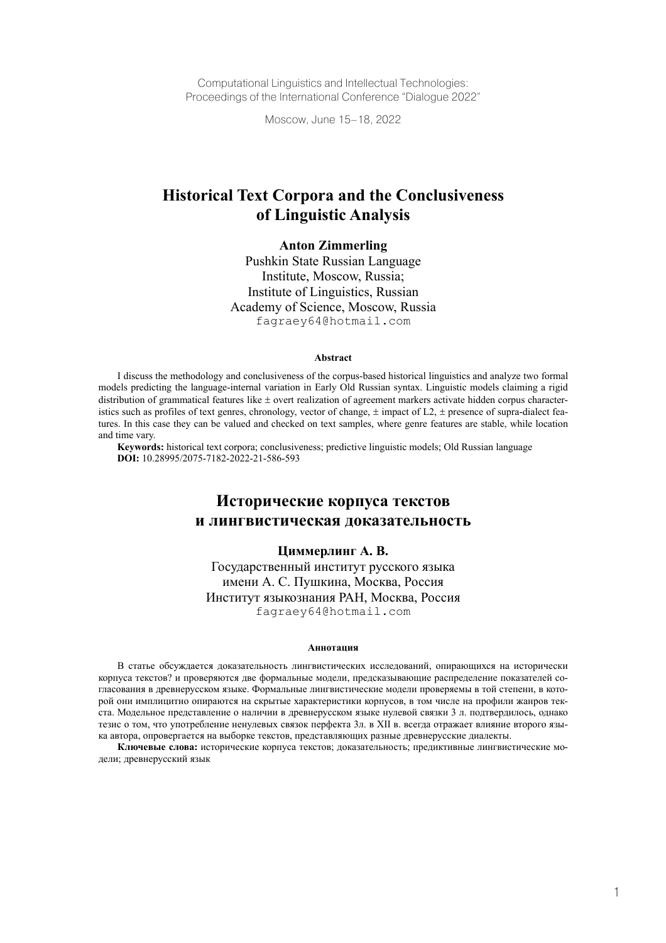Computational Linguistics and Intellectual Technologies: Proceedings of the International Conference "Dialogue 2022"

Moscow, June 15–18, 2022

# **Historical Text Corpora and the Conclusiveness of Linguistic Analysis**

#### **Anton Zimmerling**

Pushkin State Russian Language Institute, Moscow, Russia; Institute of Linguistics, Russian Academy of Science, Moscow, Russia fagraey64@hotmail.com

#### **Abstract**

I discuss the methodology and conclusiveness of the corpus-based historical linguistics and analyze two formal models predicting the language-internal variation in Early Old Russian syntax. Linguistic models claiming a rigid distribution of grammatical features like  $\pm$  overt realization of agreement markers activate hidden corpus characteristics such as profiles of text genres, chronology, vector of change,  $\pm$  impact of L2,  $\pm$  presence of supra-dialect features. In this case they can be valued and checked on text samples, where genre features are stable, while location and time vary.

**Keywords:** historical text corpora; conclusiveness; predictive linguistic models; Old Russian language **DOI:** 10.28995/2075-7182-2022-21-586-593

# **Исторические корпуса текстов и лингвистическая доказательность**

#### **Циммерлинг A. В.**

Государственный институт русского языка имени А. С. Пушкина, Москва, Россия Институт языкознания РАН, Москва, Россия fagraey64@hotmail.com

#### **Аннотация**

В статье обсуждается доказательность лингвистических исследований, опирающихся на исторически корпуса текстов? и проверяются две формальные модели, предсказывающие распределение показателей согласования в древнерусском языке. Формальные лингвистические модели проверяемы в той степени, в которой они имплицитно опираются на скрытые характеристики корпусов, в том числе на профили жанров текста. Модельное представление о наличии в древнерусском языке нулевой связки 3 л. подтвердилось, однако тезис о том, что употребление ненулевых связок перфекта 3л. в XII в. всегда отражает влияние второго языка автора, опровергается на выборке текстов, представляющих разные древнерусские диалекты.

**Ключевые слова:** исторические корпуса текстов; доказательность; предиктивные лингвистические модели; древнерусский язык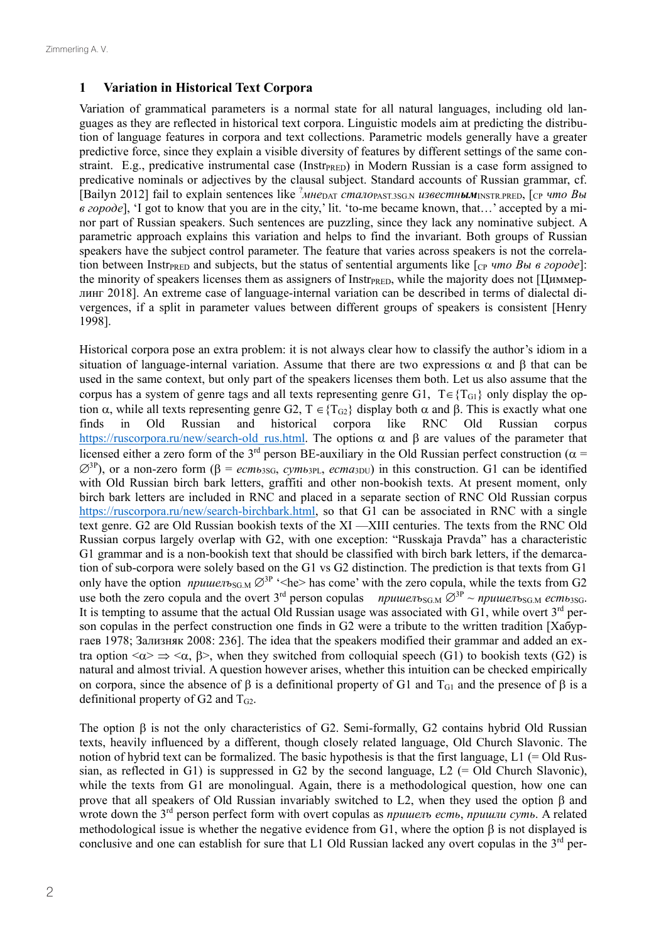#### **1 Variation in Historical Text Corpora**

Variation of grammatical parameters is a normal state for all natural languages, including old languages as they are reflected in historical text corpora. Linguistic models aim at predicting the distribution of language features in corpora and text collections. Parametric models generally have a greater predictive force, since they explain a visible diversity of features by different settings of the same constraint. E.g., predicative instrumental case (Instr<sub>PRED</sub>) in Modern Russian is a case form assigned to predicative nominals or adjectives by the clausal subject. Standard accounts of Russian grammar, cf. [Bailyn 2012] fail to explain sentences like ? *мне*DAT *стало*PAST.3SG.N *известным*INSTR.PRED, [CP *что Вы в городе*], 'I got to know that you are in the city,' lit. 'to-me became known, that…' accepted by a minor part of Russian speakers. Such sentences are puzzling, since they lack any nominative subject. A parametric approach еxplains this variation and helps to find the invariant. Both groups of Russian speakers have the subject control parameter. The feature that varies across speakers is not the correlation between Instr<sub>PRED</sub> and subjects, but the status of sentential arguments like [cp *что Вы в городе*]: the minority of speakers licenses them as assigners of Instr<sub>PRED</sub>, while the majority does not [ $\mu$ <sub>MMep-</sub> линг 2018]. An extreme case of language-internal variation can be described in terms of dialectal divergences, if a split in parameter values between different groups of speakers is consistent [Henry 1998].

Historical corpora pose an extra problem: it is not always clear how to classify the author's idiom in a situation of language-internal variation. Assume that there are two expressions  $\alpha$  and β that can be used in the same context, but only part of the speakers licenses them both. Let us also assume that the corpus has a system of genre tags and all texts representing genre G1,  $T \in \{T_{G1}\}\$ only display the option  $\alpha$ , while all texts representing genre G2, T  $\in$  {T<sub>G2</sub>} display both  $\alpha$  and  $\beta$ . This is exactly what one finds in Old Russian and historical corpora like RNC Old Russian corpus finds in Old Russian and historical corpora like RNC Old Russian corpus https://ruscorpora.ru/new/search-old\_rus.html. The options  $\alpha$  and  $\beta$  are values of the parameter that licensed either a zero form of the 3<sup>rd</sup> person BE-auxiliary in the Old Russian perfect construction ( $\alpha$  =  $\varnothing$ <sup>3P</sup>), or a non-zero form (β = *ecm*<sub>b3SG</sub>, *cvm*<sub>b3PL</sub>, *ecma*<sub>3DU</sub>) in this construction. G1 can be identified with Old Russian birch bark letters, graffiti and other non-bookish texts. At present moment, only birch bark letters are included in RNC and placed in a separate section of RNC Old Russian corpus https://ruscorpora.ru/new/search-birchbark.html, so that G1 can be associated in RNC with a single text genre. G2 are Old Russian bookish texts of the XI —XIII centuries. The texts from the RNC Old Russian corpus largely overlap with G2, with one exception: "Russkaja Pravda" has a characteristic G1 grammar and is a non-bookish text that should be classified with birch bark letters, if the demarcation of sub-corpora were solely based on the G1 vs G2 distinction. The prediction is that texts from G1 only have the option *пришелъ*<sub>SG.M</sub>  $\varnothing$ <sup>3P</sup> '<he> has come' with the zero copula, while the texts from G2 use both the zero copula and the overt 3<sup>rd</sup> person copulas *пришелъ*<sub>SG.M</sub>  $\varnothing^{3p}$  ~ *пришелъ*<sub>SG.M</sub> *есть*<sub>3SG</sub>. It is tempting to assume that the actual Old Russian usage was associated with  $GI$ , while overt  $3<sup>rd</sup>$  person copulas in the perfect construction one finds in G2 were a tribute to the written tradition [Хабургаев 1978; Зализняк 2008: 236]. The idea that the speakers modified their grammar and added an extra option  $\langle \alpha \rangle \Rightarrow \langle \alpha, \beta \rangle$ , when they switched from colloquial speech (G1) to bookish texts (G2) is natural and almost trivial. A question however arises, whether this intuition can be checked empirically on corpora, since the absence of  $\beta$  is a definitional property of G1 and T<sub>G1</sub> and the presence of  $\beta$  is a definitional property of  $G2$  and  $T<sub>G2</sub>$ .

The option β is not the only characteristics of G2. Semi-formally, G2 contains hybrid Old Russian texts, heavily influenced by a different, though closely related language, Old Church Slavonic. The notion of hybrid text can be formalized. The basic hypothesis is that the first language,  $L1$  (= Old Russian, as reflected in G1) is suppressed in G2 by the second language,  $L2$  (= Old Church Slavonic), while the texts from G1 are monolingual. Again, there is a methodological question, how one can prove that all speakers of Old Russian invariably switched to L2, when they used the option β and wrote down the 3rd person perfect form with overt copulas as *пришелъ есть*, *пришли суть*. A related methodological issue is whether the negative evidence from G1, where the option β is not displayed is conclusive and one can establish for sure that L1 Old Russian lacked any overt copulas in the  $3<sup>rd</sup>$  per-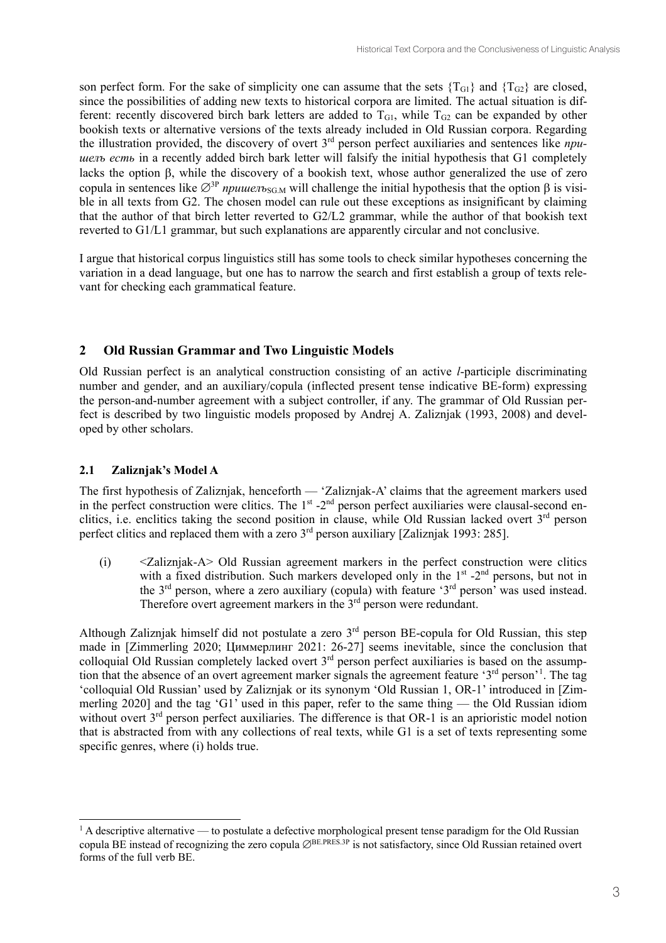son perfect form. For the sake of simplicity one can assume that the sets  ${T_{G1}}$  and  ${T_{G2}}$  are closed, since the possibilities of adding new texts to historical corpora are limited. The actual situation is different: recently discovered birch bark letters are added to  $T_{G1}$ , while  $T_{G2}$  can be expanded by other bookish texts or alternative versions of the texts already included in Old Russian corpora. Regarding the illustration provided, the discovery of overt 3rd person perfect auxiliaries and sentences like *пришелъ есть* in a recently added birch bark letter will falsify the initial hypothesis that G1 completely lacks the option β, while the discovery of a bookish text, whose author generalized the use of zero copula in sentences like  $\varnothing^3$ <sup>P</sup> *пришел*ъ<sub>SG.M</sub> will challenge the initial hypothesis that the option β is visible in all texts from G2. The chosen model can rule out these exceptions as insignificant by claiming that the author of that birch letter reverted to G2/L2 grammar, while the author of that bookish text reverted to G1/L1 grammar, but such explanations are apparently circular and not conclusive.

I argue that historical corpus linguistics still has some tools to check similar hypotheses concerning the variation in a dead language, but one has to narrow the search and first establish a group of texts relevant for checking each grammatical feature.

# **2 Old Russian Grammar and Two Linguistic Models**

Old Russian perfect is an analytical construction consisting of an active *l*-participle discriminating number and gender, and an auxiliary/copula (inflected present tense indicative BE-form) expressing the person-and-number agreement with a subject controller, if any. The grammar of Old Russian perfect is described by two linguistic models proposed by Andrej A. Zaliznjak (1993, 2008) and developed by other scholars.

# **2.1 Zaliznjak's Model A**

The first hypothesis of Zaliznjak, henceforth — 'Zaliznjak-A' claims that the agreement markers used in the perfect construction were clitics. The  $1<sup>st</sup> - 2<sup>nd</sup>$  person perfect auxiliaries were clausal-second enclitics, i.e. enclitics taking the second position in clause, while Old Russian lacked overt 3rd person perfect clitics and replaced them with a zero 3rd person auxiliary [Zaliznjak 1993: 285].

(i) <Zaliznjak-A> Old Russian agreement markers in the perfect construction were clitics with a fixed distribution. Such markers developed only in the  $1<sup>st</sup>$  -2<sup>nd</sup> persons, but not in the  $3<sup>rd</sup>$  person, where a zero auxiliary (copula) with feature ' $3<sup>rd</sup>$  person' was used instead. Therefore overt agreement markers in the  $3<sup>rd</sup>$  person were redundant.

Although Zaliznjak himself did not postulate a zero  $3<sup>rd</sup>$  person BE-copula for Old Russian, this step made in [Zimmerling 2020; Циммерлинг 2021: 26-27] seems inevitable, since the conclusion that colloquial Old Russian completely lacked overt  $3<sup>rd</sup>$  person perfect auxiliaries is based on the assumption that the absence of an overt agreement marker signals the agreement feature '3<sup>rd</sup> person'<sup>1</sup>. The tag 'colloquial Old Russian' used by Zaliznjak or its synonym 'Old Russian 1, OR-1' introduced in [Zimmerling 2020] and the tag 'G1' used in this paper, refer to the same thing — the Old Russian idiom without overt 3<sup>rd</sup> person perfect auxiliaries. The difference is that OR-1 is an aprioristic model notion that is abstracted from with any collections of real texts, while G1 is a set of texts representing some specific genres, where (i) holds true.

<sup>&</sup>lt;sup>1</sup> A descriptive alternative — to postulate a defective morphological present tense paradigm for the Old Russian copula BE instead of recognizing the zero copula ⊘BE.PRES.3P is not satisfactory, since Old Russian retained overt forms of the full verb BE.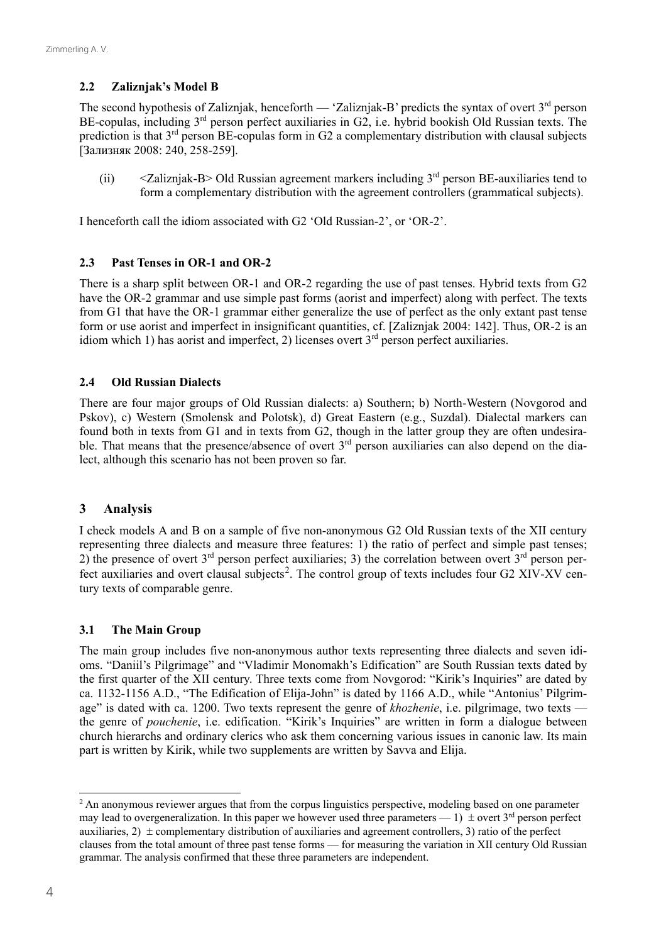# **2.2 Zaliznjak's Model B**

The second hypothesis of Zaliznjak, henceforth — 'Zaliznjak-B' predicts the syntax of overt 3<sup>rd</sup> person BE-copulas, including 3<sup>rd</sup> person perfect auxiliaries in G2, i.e. hybrid bookish Old Russian texts. The prediction is that 3<sup>rd</sup> person BE-copulas form in G2 a complementary distribution with clausal subjects [Зализняк 2008: 240, 258-259].

(ii)  $\leq$   $\leq$   $\leq$   $\leq$   $\leq$   $\leq$   $\leq$   $\leq$   $\leq$   $\leq$   $\leq$   $\leq$   $\leq$   $\leq$   $\leq$   $\leq$   $\leq$   $\leq$   $\leq$   $\leq$   $\leq$   $\leq$   $\leq$   $\leq$   $\leq$   $\leq$   $\leq$   $\leq$   $\leq$   $\leq$   $\leq$   $\leq$   $\leq$   $\leq$   $\leq$   $\leq$  form a complementary distribution with the agreement controllers (grammatical subjects).

I henceforth call the idiom associated with G2 'Old Russian-2', or 'OR-2'.

#### **2.3 Past Tenses in OR-1 and OR-2**

There is a sharp split between OR-1 and OR-2 regarding the use of past tenses. Hybrid texts from G2 have the OR-2 grammar and use simple past forms (aorist and imperfect) along with perfect. The texts from G1 that have the OR-1 grammar either generalize the use of perfect as the only extant past tense form or use aorist and imperfect in insignificant quantities, cf. [Zaliznjak 2004: 142]. Thus, OR-2 is an idiom which 1) has aorist and imperfect, 2) licenses overt  $3<sup>rd</sup>$  person perfect auxiliaries.

#### **2.4 Old Russian Dialects**

There are four major groups of Old Russian dialects: a) Southern; b) North-Western (Novgorod and Pskov), c) Western (Smolensk and Polotsk), d) Great Eastern (e.g., Suzdal). Dialectal markers can found both in texts from G1 and in texts from G2, though in the latter group they are often undesirable. That means that the presence/absence of overt  $3<sup>rd</sup>$  person auxiliaries can also depend on the dialect, although this scenario has not been proven so far.

# **3 Analysis**

I check models A and B on a sample of five non-anonymous G2 Old Russian texts of the XII century representing three dialects and measure three features: 1) the ratio of perfect and simple past tenses; 2) the presence of overt  $3<sup>rd</sup>$  person perfect auxiliaries; 3) the correlation between overt  $3<sup>rd</sup>$  person perfect auxiliaries and overt clausal subjects<sup>2</sup>. The control group of texts includes four G2 XIV-XV century texts of comparable genre.

#### **3.1 The Main Group**

The main group includes five non-anonymous author texts representing three dialects and seven idioms. "Daniil's Pilgrimage" and "Vladimir Monomakh's Edification" are South Russian texts dated by the first quarter of the XII century. Three texts come from Novgorod: "Kirik's Inquiries" are dated by ca. 1132-1156 A.D., "The Edification of Elija-John" is dated by 1166 A.D., while "Antonius' Pilgrimage" is dated with ca. 1200. Two texts represent the genre of *khozhenie*, i.e. pilgrimage, two texts the genre of *pouchenie*, i.e. edification. "Kirik's Inquiries" are written in form a dialogue between church hierarchs and ordinary clerics who ask them concerning various issues in canonic law. Its main part is written by Kirik, while two supplements are written by Savva and Elija.

<sup>&</sup>lt;sup>2</sup> An anonymous reviewer argues that from the corpus linguistics perspective, modeling based on one parameter may lead to overgeneralization. In this paper we however used three parameters — 1)  $\pm$  overt 3<sup>rd</sup> person perfect auxiliaries, 2)  $\pm$  complementary distribution of auxiliaries and agreement controllers, 3) ratio of the perfect clauses from the total amount of three past tense forms — for measuring the variation in XII century Old Russian grammar. The analysis confirmed that these three parameters are independent.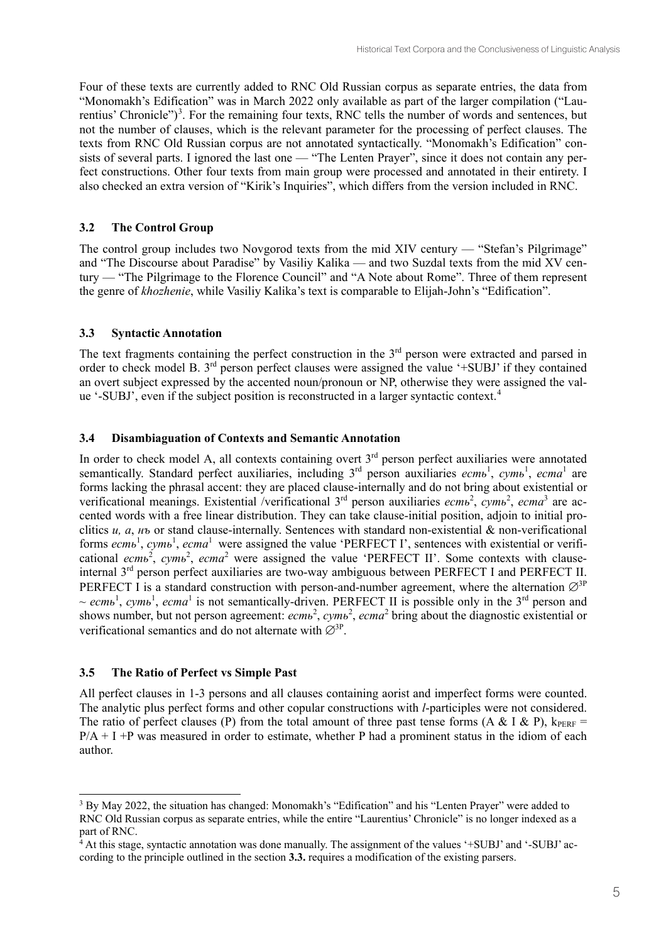Four of these texts are currently added to RNC Old Russian corpus as separate entries, the data from "Monomakh's Edification" was in March 2022 only available as part of the larger compilation ("Laurentius' Chronicle")<sup>3</sup>. For the remaining four texts, RNC tells the number of words and sentences, but not the number of clauses, which is the relevant parameter for the processing of perfect clauses. The texts from RNC Old Russian corpus are not annotated syntactically. "Monomakh's Edification" consists of several parts. I ignored the last one — "The Lenten Prayer", since it does not contain any perfect constructions. Other four texts from main group were processed and annotated in their entirety. I also checked an extra version of "Kirik's Inquiries", which differs from the version included in RNC.

# **3.2 The Control Group**

The control group includes two Novgorod texts from the mid XIV century — "Stefan's Pilgrimage" and "The Discourse about Paradise" by Vasiliy Kalika — and two Suzdal texts from the mid XV century — "The Pilgrimage to the Florence Council" and "A Note about Rome". Three of them represent the genre of *khozhenie*, while Vasiliy Kalika's text is comparable to Elijah-John's "Edification".

# **3.3 Syntactic Annotation**

The text fragments containing the perfect construction in the  $3<sup>rd</sup>$  person were extracted and parsed in order to check model B. 3rd person perfect clauses were assigned the value '+SUBJ' if they contained an overt subject expressed by the accented noun/pronoun or NP, otherwise they were assigned the value '-SUBJ', even if the subject position is reconstructed in a larger syntactic context.<sup>4</sup>

# **3.4 Disambiaguation of Contexts and Semantic Annotation**

In order to check model A, all contexts containing overt  $3<sup>rd</sup>$  person perfect auxiliaries were annotated semantically. Standard perfect auxiliaries, including 3<sup>rd</sup> person auxiliaries *есть*<sup>1</sup>, *суть*<sup>1</sup>, *еста*<sup>1</sup> are forms lacking the phrasal accent: they are placed clause-internally and do not bring about existential or verificational meanings. Existential /verificational 3<sup>rd</sup> person auxiliaries *есть<sup>2</sup>, суть<sup>2</sup>, еста*<sup>3</sup> are accented words with a free linear distribution. They can take clause-initial position, adjoin to initial proclitics *и, а*, *нъ* or stand clause-internally. Sentences with standard non-existential & non-verificational forms  $ecmb<sup>1</sup>$ ,  $cymb<sup>1</sup>$ ,  $ecma<sup>1</sup>$  were assigned the value 'PERFECT I', sentences with existential or verificational ecmb<sup>2</sup>, cymb<sup>2</sup>, ecma<sup>2</sup> were assigned the value 'PERFECT II'. Some contexts with clauseinternal 3<sup>rd</sup> person perfect auxiliaries are two-way ambiguous between PERFECT I and PERFECT II. PERFECT I is a standard construction with person-and-number agreement, where the alternation  $\varnothing$ <sup>3P</sup> ~ *есть*<sup>1</sup>, *суть*<sup>1</sup>, *еста*<sup>1</sup> is not semantically-driven. PERFECT II is possible only in the 3<sup>rd</sup> person and shows number, but not person agreement:  $ecmb^2$ ,  $cymb^2$ ,  $ecma^2$  bring about the diagnostic existential or verificational semantics and do not alternate with  $\varnothing^{3P}$ .

# **3.5 The Ratio of Perfect vs Simple Past**

All perfect clauses in 1-3 persons and all clauses containing aorist and imperfect forms were counted. The analytic plus perfect forms and other copular constructions with *l*-participles were not considered. The ratio of perfect clauses (P) from the total amount of three past tense forms (A & I & P),  $k_{PERF}$  =  $P/A + I + P$  was measured in order to estimate, whether P had a prominent status in the idiom of each author.

<sup>3</sup> By May 2022, the situation has changed: Monomakh's "Edification" and his "Lenten Prayer" were added to RNC Old Russian corpus as separate entries, while the entire "Laurentius' Chronicle" is no longer indexed as a part of RNC.

 $4$  At this stage, syntactic annotation was done manually. The assignment of the values '+SUBJ' and '-SUBJ' according to the principle outlined in the section **3.3.** requires a modification of the existing parsers.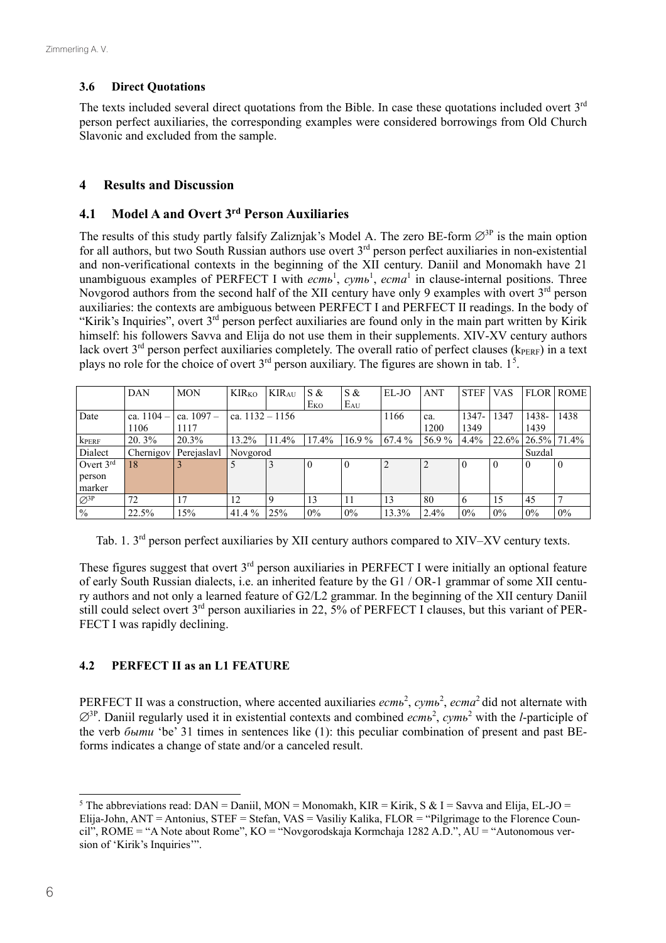#### **3.6 Direct Quotations**

The texts included several direct quotations from the Bible. In case these quotations included overt 3<sup>rd</sup> person perfect auxiliaries, the corresponding examples were considered borrowings from Old Church Slavonic and excluded from the sample.

#### **4 Results and Discussion**

# **4.1 Model A and Overt 3rd Person Auxiliaries**

The results of this study partly falsify Zaliznjak's Model A. The zero BE-form  $\emptyset$ <sup>3P</sup> is the main option for all authors, but two South Russian authors use overt  $3<sup>rd</sup>$  person perfect auxiliaries in non-existential and non-verificational contexts in the beginning of the XII century. Daniil and Monomakh have 21 unambiguous examples of PERFECT I with  $ecmb^1$ ,  $cymb^1$ ,  $ecma^1$  in clause-internal positions. Three Novgorod authors from the second half of the XII century have only 9 examples with overt 3<sup>rd</sup> person auxiliaries: the contexts are ambiguous between PERFECT I and PERFECT II readings. In the body of "Kirik's Inquiries", overt 3<sup>rd</sup> person perfect auxiliaries are found only in the main part written by Kirik himself: his followers Savva and Elija do not use them in their supplements. XIV-XV century authors lack overt  $3^{rd}$  person perfect auxiliaries completely. The overall ratio of perfect clauses ( $k_{\text{PEFE}}$ ) in a text plays no role for the choice of overt  $3<sup>rd</sup>$  person auxiliary. The figures are shown in tab. 1<sup>5</sup>.

|                             | DAN          | <b>MON</b>   | <b>KIR</b> <sub>KO</sub> | <b>KIRAU</b> | S &             | S &      | EL-JO  | <b>ANT</b> | <b>STEF</b> | <b>VAS</b> | <b>FLOR</b>      | <b>ROME</b> |  |
|-----------------------------|--------------|--------------|--------------------------|--------------|-----------------|----------|--------|------------|-------------|------------|------------------|-------------|--|
|                             |              |              |                          |              | E <sub>KO</sub> | $E_{AU}$ |        |            |             |            |                  |             |  |
| Date                        | ca. $1104 -$ | ca. $1097 -$ | ca. $1132 - 1156$        |              |                 |          | 1166   | ca.        | $1347 -$    | 1347       | 1438-            | 1438        |  |
|                             | 1106         | 1117         |                          |              |                 |          | 1200   | 1349       |             | 1439       |                  |             |  |
| <b>KPERF</b>                | 20.3%        | 20.3%        | 13.2%                    | 11.4%        | 17.4%           | $16.9\%$ | 67.4 % | 56.9%      | 4.4%        | 22.6%      | $ 26.5\% 71.4\%$ |             |  |
| Dialect                     | Chernigov    | Perejaslavl  | Novgorod                 |              |                 |          |        |            |             |            |                  | Suzdal      |  |
| Overt $3rd$                 | 18           |              |                          | 3            | $\Omega$        | $\theta$ |        |            | $\theta$    |            | - 0              | $\theta$    |  |
| person                      |              |              |                          |              |                 |          |        |            |             |            |                  |             |  |
| marker                      |              |              |                          |              |                 |          |        |            |             |            |                  |             |  |
| $\varnothing$ <sup>3P</sup> | 72           | 17           | 12                       | 9            | 13              | 11       | 13     | 80         | 6           | 15         | 45               |             |  |
| $\frac{0}{0}$               | 22.5%        | 15%          | 41.4 %                   | 25%          | $0\%$           | $0\%$    | 13.3%  | 2.4%       | $0\%$       | $0\%$      | 0%               | 0%          |  |

Tab. 1. 3<sup>rd</sup> person perfect auxiliaries by XII century authors compared to XIV–XV century texts.

These figures suggest that overt  $3<sup>rd</sup>$  person auxiliaries in PERFECT I were initially an optional feature of early South Russian dialects, i.e. an inherited feature by the G1 / OR-1 grammar of some XII century authors and not only a learned feature of G2/L2 grammar. In the beginning of the XII century Daniil still could select overt 3rd person auxiliaries in 22, 5% of PERFECT I clauses, but this variant of PER-FECT I was rapidly declining.

# **4.2 PERFECT II as an L1 FEATURE**

PERFECT II was a construction, where accented auxiliaries  $ecm\omega^2$ ,  $cym\omega^2$ ,  $ecm\omega^2$  did not alternate with ∅3P. Daniil regularly used it in existential contexts and combined *есть*<sup>2</sup> , *суть*<sup>2</sup> with the *l*-participle of the verb *быти* 'be' 31 times in sentences like (1): this peculiar combination of present and past BEforms indicates a change of state and/or a canceled result.

<sup>&</sup>lt;sup>5</sup> The abbreviations read:  $DAN = Daniil$ ,  $MON = Monomakh$ ,  $KIR = Kirik$ ,  $S & I = Savva$  and Elija, EL-JO = Elija-John, ANT = Antonius, STEF = Stefan, VAS = Vasiliy Kalika, FLOR = "Pilgrimage to the Florence Council", ROME = "A Note about Rome", KO = "Novgorodskaja Kormchaja 1282 A.D.", AU = "Autonomous version of 'Kirik's Inquiries'".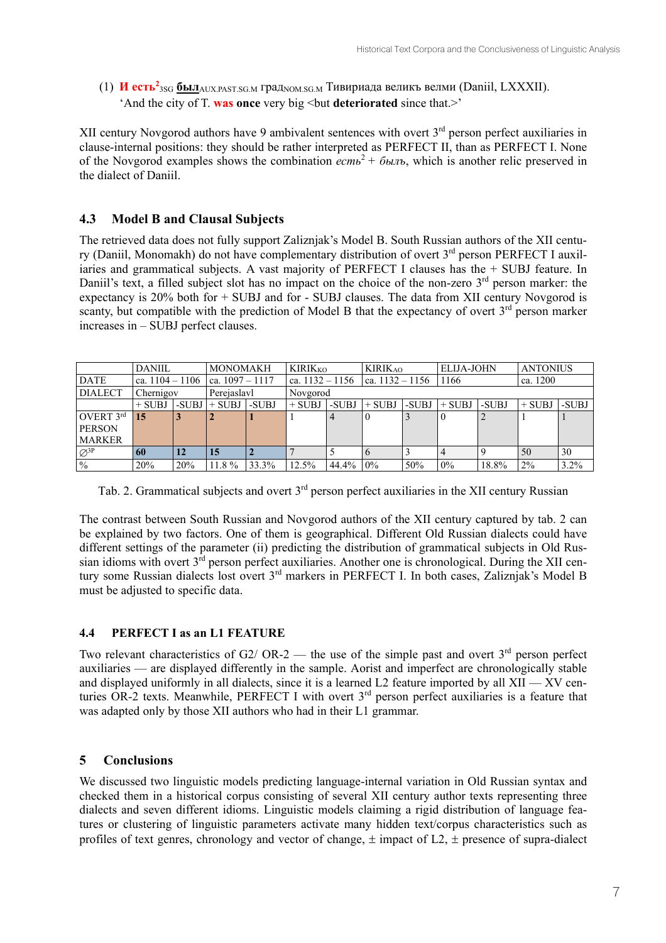(1) **И есть<sup>2</sup>** 3SG **был**AUX.PAST.SG.M градNOM.SG.M Тивириада великъ велми (Daniil, LXXXII). 'And the city of T. **was once** very big <but **deteriorated** since that.>'

XII century Novgorod authors have 9 ambivalent sentences with overt  $3<sup>rd</sup>$  person perfect auxiliaries in clause-internal positions: they should be rather interpreted as PERFECT II, than as PERFECT I. None of the Novgorod examples shows the combination *есть*<sup>2</sup>*+ былъ*, which is another relic preserved in the dialect of Daniil.

# **4.3 Model B and Clausal Subjects**

The retrieved data does not fully support Zaliznjak's Model B. South Russian authors of the XII century (Daniil, Monomakh) do not have complementary distribution of overt 3<sup>rd</sup> person PERFECT I auxiliaries and grammatical subjects. A vast majority of PERFECT I clauses has the + SUBJ feature. In Daniil's text, a filled subject slot has no impact on the choice of the non-zero  $3<sup>rd</sup>$  person marker: the expectancy is 20% both for + SUBJ and for - SUBJ clauses. The data from XII century Novgorod is scanty, but compatible with the prediction of Model B that the expectancy of overt  $3<sup>rd</sup>$  person marker increases in – SUBJ perfect clauses.

|                             | <b>DANIIL</b>     |       | <b>MONOMAKH</b>   |       | <b>KIRIKKO</b>    |          | <b>KIRIKAO</b>    |       | <b>ELIJA-JOHN</b> |       | <b>ANTONIUS</b> |       |
|-----------------------------|-------------------|-------|-------------------|-------|-------------------|----------|-------------------|-------|-------------------|-------|-----------------|-------|
| <b>DATE</b>                 | ca. $1104 - 1106$ |       | ca. $1097 - 1117$ |       | ca. $1132 - 1156$ |          | ca. $1132 - 1156$ |       | 1166              |       | ca. 1200        |       |
| <b>DIALECT</b>              | Chernigov         |       | Perejaslavl       |       | Novgorod          |          |                   |       |                   |       |                 |       |
|                             | $+$ SUBJ          | -SUBJ | $+$ SUBJ          | -SUBJ | $+$ SUBJ          | -SUBJ    | $+$ SUBJ          | -SUBJ | $+$ SUBJ          | -SUBJ | $+$ SUBJ        | -SUBJ |
| OVERT $3^{\text{rd}}$       | 15                |       |                   |       |                   |          |                   |       |                   |       |                 |       |
| <b>PERSON</b>               |                   |       |                   |       |                   |          |                   |       |                   |       |                 |       |
| <b>MARKER</b>               |                   |       |                   |       |                   |          |                   |       |                   |       |                 |       |
| $\varnothing$ <sup>3P</sup> | 60                | 12    | 15                |       |                   |          |                   |       |                   |       | 50              | 30    |
| $\frac{0}{6}$               | 20%               | 20%   | 11.8%             | 33.3% | 12.5%             | 44.4% 0% |                   | 50%   | $0\%$             | 18.8% | 2%              | 3.2%  |

Tab. 2. Grammatical subjects and overt  $3<sup>rd</sup>$  person perfect auxiliaries in the XII century Russian

The contrast between South Russian and Novgorod authors of the XII century captured by tab. 2 can be explained by two factors. One of them is geographical. Different Old Russian dialects could have different settings of the parameter (ii) predicting the distribution of grammatical subjects in Old Russian idioms with overt  $3^{rd}$  person perfect auxiliaries. Another one is chronological. During the XII century some Russian dialects lost overt 3rd markers in PERFECT I. In both cases, Zaliznjak's Model B must be adjusted to specific data.

# **4.4 PERFECT I as an L1 FEATURE**

Two relevant characteristics of G2/ OR-2 — the use of the simple past and overt  $3<sup>rd</sup>$  person perfect auxiliaries — are displayed differently in the sample. Aorist and imperfect are chronologically stable and displayed uniformly in all dialects, since it is a learned L2 feature imported by all  $XII - XV$  centuries OR-2 texts. Meanwhile, PERFECT I with overt 3<sup>rd</sup> person perfect auxiliaries is a feature that was adapted only by those XII authors who had in their L1 grammar.

# **5 Conclusions**

We discussed two linguistic models predicting language-internal variation in Old Russian syntax and checked them in a historical corpus consisting of several XII century author texts representing three dialects and seven different idioms. Linguistic models claiming a rigid distribution of language features or clustering of linguistic parameters activate many hidden text/corpus characteristics such as profiles of text genres, chronology and vector of change,  $\pm$  impact of L2,  $\pm$  presence of supra-dialect